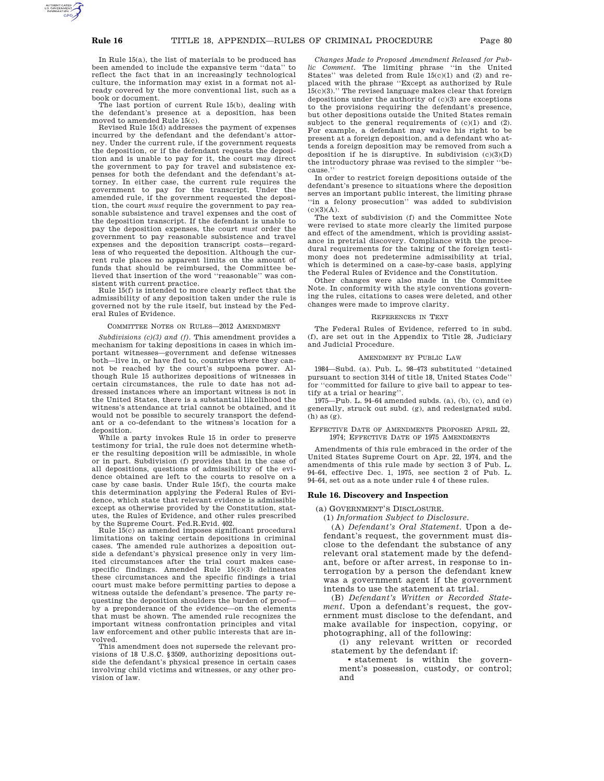In Rule 15(a), the list of materials to be produced has been amended to include the expansive term ''data'' to reflect the fact that in an increasingly technological culture, the information may exist in a format not already covered by the more conventional list, such as a book or document.

The last portion of current Rule 15(b), dealing with the defendant's presence at a deposition, has been moved to amended Rule 15(c).

Revised Rule 15(d) addresses the payment of expenses incurred by the defendant and the defendant's attorney. Under the current rule, if the government requests the deposition, or if the defendant requests the deposition and is unable to pay for it, the court *may* direct the government to pay for travel and subsistence expenses for both the defendant and the defendant's attorney. In either case, the current rule requires the government to pay for the transcript. Under the amended rule, if the government requested the deposition, the court *must* require the government to pay reasonable subsistence and travel expenses and the cost of the deposition transcript. If the defendant is unable to pay the deposition expenses, the court *must* order the government to pay reasonable subsistence and travel expenses and the deposition transcript costs—regardless of who requested the deposition. Although the current rule places no apparent limits on the amount of funds that should be reimbursed, the Committee believed that insertion of the word ''reasonable'' was consistent with current practice.

Rule 15(f) is intended to more clearly reflect that the admissibility of any deposition taken under the rule is governed not by the rule itself, but instead by the Federal Rules of Evidence.

# COMMITTEE NOTES ON RULES—2012 AMENDMENT

*Subdivisions (c)(3) and (f).* This amendment provides a mechanism for taking depositions in cases in which important witnesses—government and defense witnesses both—live in, or have fled to, countries where they cannot be reached by the court's subpoena power. Although Rule 15 authorizes depositions of witnesses in certain circumstances, the rule to date has not addressed instances where an important witness is not in the United States, there is a substantial likelihood the witness's attendance at trial cannot be obtained, and it would not be possible to securely transport the defendant or a co-defendant to the witness's location for a

deposition. While a party invokes Rule 15 in order to preserve testimony for trial, the rule does not determine whether the resulting deposition will be admissible, in whole or in part. Subdivision (f) provides that in the case of all depositions, questions of admissibility of the evidence obtained are left to the courts to resolve on a case by case basis. Under Rule 15(f), the courts make this determination applying the Federal Rules of Evidence, which state that relevant evidence is admissible except as otherwise provided by the Constitution, statutes, the Rules of Evidence, and other rules prescribed by the Supreme Court. Fed.R.Evid. 402.

Rule 15(c) as amended imposes significant procedural limitations on taking certain depositions in criminal cases. The amended rule authorizes a deposition outside a defendant's physical presence only in very limited circumstances after the trial court makes casespecific findings. Amended Rule 15(c)(3) delineates these circumstances and the specific findings a trial court must make before permitting parties to depose a witness outside the defendant's presence. The party requesting the deposition shoulders the burden of proof by a preponderance of the evidence—on the elements that must be shown. The amended rule recognizes the important witness confrontation principles and vital law enforcement and other public interests that are involved.

This amendment does not supersede the relevant provisions of 18 U.S.C. §3509, authorizing depositions outside the defendant's physical presence in certain cases involving child victims and witnesses, or any other provision of law.

*Changes Made to Proposed Amendment Released for Public Comment.* The limiting phrase ''in the United States" was deleted from Rule  $15(c)(1)$  and  $(2)$  and replaced with the phrase ''Except as authorized by Rule 15(c)(3).'' The revised language makes clear that foreign depositions under the authority of (c)(3) are exceptions to the provisions requiring the defendant's presence, but other depositions outside the United States remain subject to the general requirements of  $(c)(1)$  and  $(2)$ . For example, a defendant may waive his right to be present at a foreign deposition, and a defendant who attends a foreign deposition may be removed from such a deposition if he is disruptive. In subdivision  $(c)(3)(D)$ the introductory phrase was revised to the simpler ''because.''

In order to restrict foreign depositions outside of the defendant's presence to situations where the deposition serves an important public interest, the limiting phrase ''in a felony prosecution'' was added to subdivision  $(c)(3)(A).$ 

The text of subdivision (f) and the Committee Note were revised to state more clearly the limited purpose and effect of the amendment, which is providing assistance in pretrial discovery. Compliance with the procedural requirements for the taking of the foreign testimony does not predetermine admissibility at trial, which is determined on a case-by-case basis, applying the Federal Rules of Evidence and the Constitution.

Other changes were also made in the Committee Note. In conformity with the style conventions governing the rules, citations to cases were deleted, and other changes were made to improve clarity.

#### REFERENCES IN TEXT

The Federal Rules of Evidence, referred to in subd. (f), are set out in the Appendix to Title 28, Judiciary and Judicial Procedure.

#### AMENDMENT BY PUBLIC LAW

1984—Subd. (a). Pub. L. 98–473 substituted ''detained pursuant to section 3144 of title 18, United States Code'' for ''committed for failure to give bail to appear to testify at a trial or hearing''.

1975—Pub. L. 94–64 amended subds. (a), (b), (c), and (e) generally, struck out subd. (g), and redesignated subd. (h) as (g).

# EFFECTIVE DATE OF AMENDMENTS PROPOSED APRIL 22, 1974; EFFECTIVE DATE OF 1975 AMENDMENTS

Amendments of this rule embraced in the order of the United States Supreme Court on Apr. 22, 1974, and the amendments of this rule made by section 3 of Pub. L. 94–64, effective Dec. 1, 1975, see section 2 of Pub. L. 94–64, set out as a note under rule 4 of these rules.

#### **Rule 16. Discovery and Inspection**

(a) GOVERNMENT'S DISCLOSURE.

(1) *Information Subject to Disclosure.*

(A) *Defendant's Oral Statement*. Upon a defendant's request, the government must disclose to the defendant the substance of any relevant oral statement made by the defendant, before or after arrest, in response to interrogation by a person the defendant knew was a government agent if the government intends to use the statement at trial.

(B) *Defendant's Written or Recorded Statement*. Upon a defendant's request, the government must disclose to the defendant, and make available for inspection, copying, or photographing, all of the following:

(i) any relevant written or recorded statement by the defendant if:

• statement is within the government's possession, custody, or control; and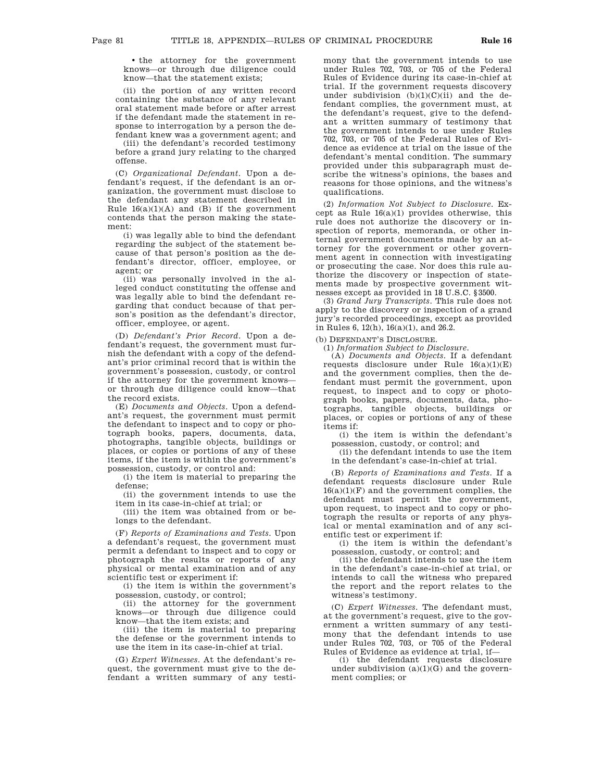• the attorney for the government knows—or through due diligence could know—that the statement exists;

(ii) the portion of any written record containing the substance of any relevant oral statement made before or after arrest if the defendant made the statement in response to interrogation by a person the defendant knew was a government agent; and

(iii) the defendant's recorded testimony before a grand jury relating to the charged offense.

(C) *Organizational Defendant*. Upon a defendant's request, if the defendant is an organization, the government must disclose to the defendant any statement described in Rule  $16(a)(1)(A)$  and  $(B)$  if the government contends that the person making the statement:

(i) was legally able to bind the defendant regarding the subject of the statement because of that person's position as the defendant's director, officer, employee, or agent; or

(ii) was personally involved in the alleged conduct constituting the offense and was legally able to bind the defendant regarding that conduct because of that person's position as the defendant's director, officer, employee, or agent.

(D) *Defendant's Prior Record*. Upon a defendant's request, the government must furnish the defendant with a copy of the defendant's prior criminal record that is within the government's possession, custody, or control if the attorney for the government knows or through due diligence could know—that the record exists.

(E) *Documents and Objects*. Upon a defendant's request, the government must permit the defendant to inspect and to copy or photograph books, papers, documents, data, photographs, tangible objects, buildings or places, or copies or portions of any of these items, if the item is within the government's possession, custody, or control and:

(i) the item is material to preparing the defense;

(ii) the government intends to use the item in its case-in-chief at trial; or

(iii) the item was obtained from or belongs to the defendant.

(F) *Reports of Examinations and Tests*. Upon a defendant's request, the government must permit a defendant to inspect and to copy or photograph the results or reports of any physical or mental examination and of any scientific test or experiment if:

(i) the item is within the government's possession, custody, or control;

(ii) the attorney for the government knows—or through due diligence could know—that the item exists; and

(iii) the item is material to preparing the defense or the government intends to use the item in its case-in-chief at trial.

(G) *Expert Witnesses*. At the defendant's request, the government must give to the defendant a written summary of any testimony that the government intends to use under Rules 702, 703, or 705 of the Federal Rules of Evidence during its case-in-chief at trial. If the government requests discovery under subdivision  $(b)(1)(C)(ii)$  and the defendant complies, the government must, at the defendant's request, give to the defendant a written summary of testimony that the government intends to use under Rules 702, 703, or 705 of the Federal Rules of Evidence as evidence at trial on the issue of the defendant's mental condition. The summary provided under this subparagraph must describe the witness's opinions, the bases and reasons for those opinions, and the witness's qualifications.

(2) *Information Not Subject to Disclosure*. Except as Rule 16(a)(1) provides otherwise, this rule does not authorize the discovery or inspection of reports, memoranda, or other internal government documents made by an attorney for the government or other government agent in connection with investigating or prosecuting the case. Nor does this rule authorize the discovery or inspection of statements made by prospective government witnesses except as provided in 18 U.S.C. §3500.

(3) *Grand Jury Transcripts*. This rule does not apply to the discovery or inspection of a grand jury's recorded proceedings, except as provided in Rules 6, 12(h), 16(a)(1), and 26.2.

(b) DEFENDANT'S DISCLOSURE.

(1) *Information Subject to Disclosure.*

(A) *Documents and Objects*. If a defendant requests disclosure under Rule  $16(a)(1)(E)$ and the government complies, then the defendant must permit the government, upon request, to inspect and to copy or photograph books, papers, documents, data, photographs, tangible objects, buildings or places, or copies or portions of any of these items if:

(i) the item is within the defendant's possession, custody, or control; and

(ii) the defendant intends to use the item in the defendant's case-in-chief at trial.

(B) *Reports of Examinations and Tests*. If a defendant requests disclosure under Rule  $16(a)(1)(F)$  and the government complies, the defendant must permit the government, upon request, to inspect and to copy or photograph the results or reports of any physical or mental examination and of any scientific test or experiment if:

(i) the item is within the defendant's possession, custody, or control; and

(ii) the defendant intends to use the item in the defendant's case-in-chief at trial, or intends to call the witness who prepared the report and the report relates to the witness's testimony.

(C) *Expert Witnesses*. The defendant must, at the government's request, give to the government a written summary of any testimony that the defendant intends to use under Rules 702, 703, or 705 of the Federal Rules of Evidence as evidence at trial, if—

(i) the defendant requests disclosure under subdivision  $(a)(1)(G)$  and the government complies; or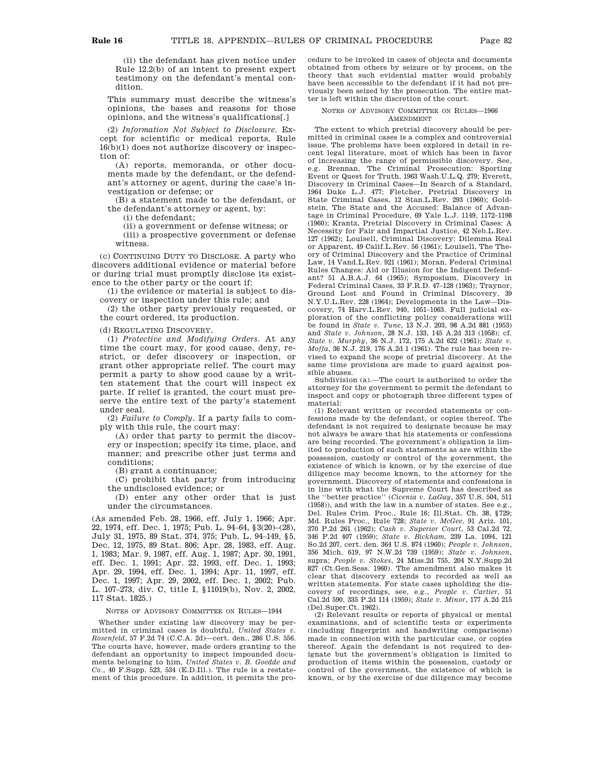(ii) the defendant has given notice under Rule 12.2(b) of an intent to present expert testimony on the defendant's mental condition.

This summary must describe the witness's opinions, the bases and reasons for those opinions, and the witness's qualifications[.]

(2) *Information Not Subject to Disclosure*. Except for scientific or medical reports, Rule 16(b)(1) does not authorize discovery or inspection of:

(A) reports, memoranda, or other documents made by the defendant, or the defendant's attorney or agent, during the case's investigation or defense; or

(B) a statement made to the defendant, or the defendant's attorney or agent, by:

(i) the defendant;

(ii) a government or defense witness; or (iii) a prospective government or defense witness.

(c) CONTINUING DUTY TO DISCLOSE. A party who discovers additional evidence or material before or during trial must promptly disclose its existence to the other party or the court if:

(1) the evidence or material is subject to discovery or inspection under this rule; and

(2) the other party previously requested, or the court ordered, its production.

(d) REGULATING DISCOVERY.

(1) *Protective and Modifying Orders*. At any time the court may, for good cause, deny, restrict, or defer discovery or inspection, or grant other appropriate relief. The court may permit a party to show good cause by a written statement that the court will inspect ex parte. If relief is granted, the court must preserve the entire text of the party's statement under seal.

(2) *Failure to Comply*. If a party fails to comply with this rule, the court may:

(A) order that party to permit the discovery or inspection; specify its time, place, and manner; and prescribe other just terms and conditions;

(B) grant a continuance;

(C) prohibit that party from introducing the undisclosed evidence; or

(D) enter any other order that is just under the circumstances.

(As amended Feb. 28, 1966, eff. July 1, 1966; Apr. 22, 1974, eff. Dec. 1, 1975; Pub. L. 94–64, §3(20)–(28), July 31, 1975, 89 Stat. 374, 375; Pub. L. 94–149, §5, Dec. 12, 1975, 89 Stat. 806; Apr. 28, 1983, eff. Aug. 1, 1983; Mar. 9, 1987, eff. Aug. 1, 1987; Apr. 30, 1991, eff. Dec. 1, 1991; Apr. 22, 1993, eff. Dec. 1, 1993; Apr. 29, 1994, eff. Dec. 1, 1994; Apr. 11, 1997, eff. Dec. 1, 1997; Apr. 29, 2002, eff. Dec. 1, 2002; Pub. L. 107–273, div. C, title I, §11019(b), Nov. 2, 2002, 117 Stat. 1825.)

NOTES OF ADVISORY COMMITTEE ON RULES—1944

Whether under existing law discovery may be permitted in criminal cases is doubtful, *United States v. Rosenfeld*, 57 F.2d 74 (C.C.A. 2d)—cert. den., 286 U.S. 556. The courts have, however, made orders granting to the defendant an opportunity to inspect impounded documents belonging to him, *United States v. B. Goedde and Co*., 40 F.Supp. 523, 534 (E.D.Ill.). The rule is a restatement of this procedure. In addition, it permits the procedure to be invoked in cases of objects and documents obtained from others by seizure or by process, on the theory that such evidential matter would probably have been accessible to the defendant if it had not previously been seized by the prosecution. The entire matter is left within the discretion of the court.

#### NOTES OF ADVISORY COMMITTEE ON RULES—1966 AMENDMENT

The extent to which pretrial discovery should be permitted in criminal cases is a complex and controversial issue. The problems have been explored in detail in recent legal literature, most of which has been in favor of increasing the range of permissible discovery. See, e.g. Brennan, The Criminal Prosecution: Sporting Event or Quest for Truth, 1963 Wash.U.L.Q. 279; Everett, Discovery in Criminal Cases—In Search of a Standard, 1964 Duke L.J. 477; Fletcher, Pretrial Discovery in State Criminal Cases, 12 Stan.L.Rev. 293 (1960); Goldstein, The State and the Accused: Balance of Advantage in Criminal Procedure, 69 Yale L.J. 1149, 1172–1198 (1960); Krantz, Pretrial Discovery in Criminal Cases: A Necessity for Fair and Impartial Justice, 42 Neb.L.Rev. 127 (1962); Louisell, Criminal Discovery: Dilemma Real or Apparent, 49 Calif.L.Rev. 56 (1961); Louisell, The Theory of Criminal Discovery and the Practice of Criminal Law, 14 Vand.L.Rev. 921 (1961); Moran, Federal Criminal Rules Changes: Aid or Illusion for the Indigent Defendant? 51 A.B.A.J. 64 (1965); Symposium, Discovery in Federal Criminal Cases, 33 F.R.D. 47–128 (1963); Traynor, Ground Lost and Found in Criminal Discovery, 39<br>N Y U L Rev 228 (1964): Developments in the Law—Dis-N.Y.U.L.Rev. 228 (1964); Developments in the Lawcovery, 74 Harv.L.Rev. 940, 1051–1063. Full judicial exploration of the conflicting policy considerations will be found in *State v. Tune*, 13 N.J. 203, 98 A.2d 881 (1953) and *State v. Johnson*, 28 N.J. 133, 145 A.2d 313 (1958); cf. *State v. Murphy*, 36 N.J. 172, 175 A.2d 622 (1961); *State v. Moffa*, 36 N.J. 219, 176 A.2d 1 (1961). The rule has been revised to expand the scope of pretrial discovery. At the same time provisions are made to guard against possible abuses.

Subdivision (a).—The court is authorized to order the attorney for the government to permit the defendant to inspect and copy or photograph three different types of material:

(1) Relevant written or recorded statements or confessions made by the defendant, or copies thereof. The defendant is not required to designate because he may not always be aware that his statements or confessions are being recorded. The government's obligation is limited to production of such statements as are within the possession, custody or control of the government, the existence of which is known, or by the exercise of due diligence may become known, to the attorney for the government. Discovery of statements and confessions is in line with what the Supreme Court has described as the ''better practice'' (*Cicenia v. LaGay*, 357 U.S. 504, 511 (1958)), and with the law in a number of states. See e.g., Del. Rules Crim. Proc., Rule 16; Ill.Stat. Ch. 38, §729; Md. Rules Proc., Rule 728; *State v. McGee*, 91 Ariz. 101, 370 P.2d 261 (1962); *Cash v. Superior Court*, 53 Cal.2d 72, 346 P.2d 407 (1959); *State v. Bickham*, 239 La. 1094, 121 So.2d 207, cert. den. 364 U.S. 874 (1960); *People v. Johnson*, 356 Mich. 619, 97 N.W.2d 739 (1959); *State v. Johnson*, supra; *People v. Stokes*, 24 Miss.2d 755, 204 N.Y.Supp.2d 827 (Ct.Gen.Sess. 1960). The amendment also makes it clear that discovery extends to recorded as well as written statements. For state cases upholding the discovery of recordings, see, e.g., *People v. Cartier*, 51 Cal.2d 590, 335 P.2d 114 (1959); *State v. Minor*, 177 A.2d 215 (Del.Super.Ct. 1962).

(2) Relevant results or reports of physical or mental examinations, and of scientific tests or experiments (including fingerprint and handwriting comparisons) made in connection with the particular case, or copies thereof. Again the defendant is not required to designate but the government's obligation is limited to production of items within the possession, custody or control of the government, the existence of which is known, or by the exercise of due diligence may become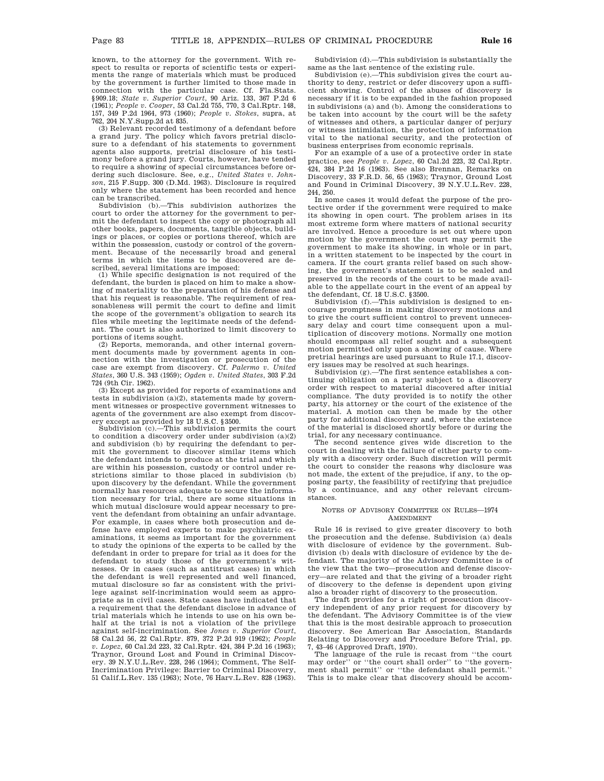known, to the attorney for the government. With respect to results or reports of scientific tests or experiments the range of materials which must be produced by the government is further limited to those made in connection with the particular case. Cf. Fla.Stats. §909.18; *State v. Superior Court*, 90 Ariz. 133, 367 P.2d 6 (1961); *People v. Cooper*, 53 Cal.2d 755, 770, 3 Cal.Rptr. 148, 157, 349 P.2d 1964, 973 (1960); *People v. Stokes*, supra, at 762, 204 N.Y.Supp.2d at 835.

(3) Relevant recorded testimony of a defendant before a grand jury. The policy which favors pretrial disclosure to a defendant of his statements to government agents also supports, pretrial disclosure of his testimony before a grand jury. Courts, however, have tended to require a showing of special circumstances before ordering such disclosure. See, e.g., *United States v. Johnson*, 215 F.Supp. 300 (D.Md. 1963). Disclosure is required only where the statement has been recorded and hence can be transcribed.

Subdivision (b).—This subdivision authorizes the court to order the attorney for the government to permit the defendant to inspect the copy or photograph all other books, papers, documents, tangible objects, buildings or places, or copies or portions thereof, which are within the possession, custody or control of the government. Because of the necessarily broad and general terms in which the items to be discovered are described, several limitations are imposed:

(1) While specific designation is not required of the defendant, the burden is placed on him to make a showing of materiality to the preparation of his defense and that his request is reasonable. The requirement of reasonableness will permit the court to define and limit the scope of the government's obligation to search its files while meeting the legitimate needs of the defendant. The court is also authorized to limit discovery to portions of items sought.

(2) Reports, memoranda, and other internal government documents made by government agents in connection with the investigation or prosecution of the case are exempt from discovery. Cf. *Palermo v. United States*, 360 U.S. 343 (1959); *Ogden v. United States*, 303 F.2d 724 (9th Cir. 1962).

(3) Except as provided for reports of examinations and tests in subdivision (a)(2), statements made by government witnesses or prospective government witnesses to agents of the government are also exempt from discovery except as provided by 18 U.S.C. §3500.

Subdivision (c).—This subdivision permits the court to condition a discovery order under subdivision (a)(2) and subdivision (b) by requiring the defendant to permit the government to discover similar items which the defendant intends to produce at the trial and which are within his possession, custody or control under restrictions similar to those placed in subdivision (b) upon discovery by the defendant. While the government normally has resources adequate to secure the information necessary for trial, there are some situations in which mutual disclosure would appear necessary to prevent the defendant from obtaining an unfair advantage. For example, in cases where both prosecution and defense have employed experts to make psychiatric examinations, it seems as important for the government to study the opinions of the experts to be called by the defendant in order to prepare for trial as it does for the defendant to study those of the government's witnesses. Or in cases (such as antitrust cases) in which the defendant is well represented and well financed, mutual disclosure so far as consistent with the privilege against self-incrimination would seem as appropriate as in civil cases. State cases have indicated that a requirement that the defendant disclose in advance of trial materials which he intends to use on his own behalf at the trial is not a violation of the privilege against self-incrimination. See *Jones v. Superior Court*, 58 Cal.2d 56, 22 Cal.Rptr. 879, 372 P.2d 919 (1962); *People v. Lopez*, 60 Cal.2d 223, 32 Cal.Rptr. 424, 384 P.2d 16 (1963); Traynor, Ground Lost and Found in Criminal Discovery. 39 N.Y.U.L.Rev. 228, 246 (1964); Comment, The Self-Incrimination Privilege: Barrier to Criminal Discovery, 51 Calif.L.Rev. 135 (1963); Note, 76 Harv.L.Rev. 828 (1963).

Subdivision (d).—This subdivision is substantially the same as the last sentence of the existing rule.

Subdivision (e).—This subdivision gives the court authority to deny, restrict or defer discovery upon a sufficient showing. Control of the abuses of discovery is necessary if it is to be expanded in the fashion proposed in subdivisions (a) and (b). Among the considerations to be taken into account by the court will be the safety of witnesses and others, a particular danger of perjury or witness intimidation, the protection of information vital to the national security, and the protection of business enterprises from economic reprisals.

For an example of a use of a protective order in state practice, see *People v. Lopez*, 60 Cal.2d 223, 32 Cal.Rptr. 424, 384 P.2d 16 (1963). See also Brennan, Remarks on Discovery, 33 F.R.D. 56, 65 (1963); Traynor, Ground Lost and Found in Criminal Discovery, 39 N.Y.U.L.Rev. 228, 244, 250.

In some cases it would defeat the purpose of the protective order if the government were required to make its showing in open court. The problem arises in its most extreme form where matters of national security are involved. Hence a procedure is set out where upon motion by the government the court may permit the government to make its showing, in whole or in part, in a written statement to be inspected by the court in camera. If the court grants relief based on such showing, the government's statement is to be sealed and preserved in the records of the court to be made available to the appellate court in the event of an appeal by the defendant, Cf. 18 U.S.C. §3500.

Subdivision (f).—This subdivision is designed to encourage promptness in making discovery motions and to give the court sufficient control to prevent unnecessary delay and court time consequent upon a multiplication of discovery motions. Normally one motion should encompass all relief sought and a subsequent motion permitted only upon a showing of cause. Where pretrial hearings are used pursuant to Rule 17.1, discovery issues may be resolved at such hearings.

Subdivision (g).—The first sentence establishes a continuing obligation on a party subject to a discovery order with respect to material discovered after initial compliance. The duty provided is to notify the other party, his attorney or the court of the existence of the material. A motion can then be made by the other party for additional discovery and, where the existence of the material is disclosed shortly before or during the trial, for any necessary continuance.

The second sentence gives wide discretion to the court in dealing with the failure of either party to comply with a discovery order. Such discretion will permit the court to consider the reasons why disclosure was not made, the extent of the prejudice, if any, to the opposing party, the feasibility of rectifying that prejudice by a continuance, and any other relevant circumstances.

#### NOTES OF ADVISORY COMMITTEE ON RULES—1974 AMENDMENT

Rule 16 is revised to give greater discovery to both the prosecution and the defense. Subdivision (a) deals with disclosure of evidence by the government. Subdivision (b) deals with disclosure of evidence by the defendant. The majority of the Advisory Committee is of the view that the two—prosecution and defense discovery—are related and that the giving of a broader right of discovery to the defense is dependent upon giving also a broader right of discovery to the prosecution.

The draft provides for a right of prosecution discovery independent of any prior request for discovery by the defendant. The Advisory Committee is of the view that this is the most desirable approach to prosecution discovery. See American Bar Association, Standards Relating to Discovery and Procedure Before Trial, pp. 7, 43–46 (Approved Draft, 1970).

The language of the rule is recast from ''the court may order'' or ''the court shall order'' to ''the government shall permit'' or ''the defendant shall permit.'' This is to make clear that discovery should be accom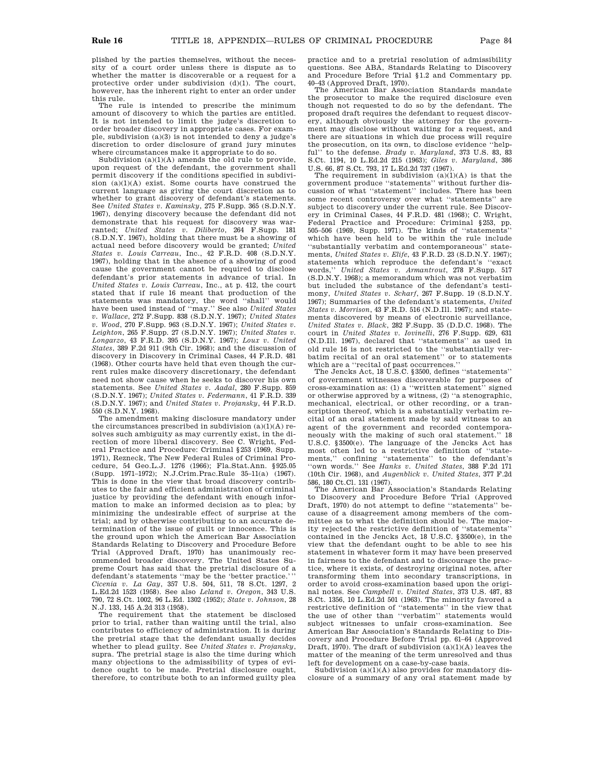plished by the parties themselves, without the necessity of a court order unless there is dispute as to whether the matter is discoverable or a request for a protective order under subdivision (d)(1). The court, however, has the inherent right to enter an order under this rule.

The rule is intended to prescribe the minimum amount of discovery to which the parties are entitled. It is not intended to limit the judge's discretion to order broader discovery in appropriate cases. For example, subdivision (a)(3) is not intended to deny a judge's discretion to order disclosure of grand jury minutes where circumstances make it appropriate to do so.

Subdivision  $(a)(1)(A)$  amends the old rule to provide, upon request of the defendant, the government shall permit discovery if the conditions specified in subdivision (a)(1)(A) exist. Some courts have construed the current language as giving the court discretion as to whether to grant discovery of defendant's statements. See *United States v. Kaminsky*, 275 F.Supp. 365 (S.D.N.Y. 1967), denying discovery because the defendant did not demonstrate that his request for discovery was warranted; *United States v. Diliberto*, 264 F.Supp. 181 (S.D.N.Y. 1967), holding that there must be a showing of actual need before discovery would be granted; *United States v. Louis Carreau*, Inc., 42 F.R.D. 408 (S.D.N.Y. 1967), holding that in the absence of a showing of good cause the government cannot be required to disclose defendant's prior statements in advance of trial. In *United States v. Louis Carreau*, Inc., at p. 412, the court stated that if rule 16 meant that production of the statements was mandatory, the word ''shall'' would have been used instead of ''may.'' See also *United States v. Wallace*, 272 F.Supp. 838 (S.D.N.Y. 1967); *United States v. Wood*, 270 F.Supp. 963 (S.D.N.Y. 1967); *United States v. Leighton*, 265 F.Supp. 27 (S.D.N.Y. 1967); *United States v. Longarzo*, 43 F.R.D. 395 (S.D.N.Y. 1967); *Loux v. United States*, 389 F.2d 911 (9th Cir. 1968); and the discussion of discovery in Discovery in Criminal Cases, 44 F.R.D. 481 (1968). Other courts have held that even though the current rules make discovery discretionary, the defendant need not show cause when he seeks to discover his own statements. See *United States v. Aadal*, 280 F.Supp. 859 (S.D.N.Y. 1967); *United States v. Federmann*, 41 F.R.D. 339 (S.D.N.Y. 1967); and *United States v. Projansky*, 44 F.R.D. 550 (S.D.N.Y. 1968).

The amendment making disclosure mandatory under the circumstances prescribed in subdivision  $(a)(1)(A)$  resolves such ambiguity as may currently exist, in the direction of more liberal discovery. See C. Wright, Federal Practice and Procedure: Criminal §253 (1969, Supp. 1971), Rezneck, The New Federal Rules of Criminal Procedure, 54 Geo.L.J. 1276 (1966); Fla.Stat.Ann. §925.05 (Supp. 1971–1972); N.J.Crim.Prac.Rule 35–11(a) (1967). This is done in the view that broad discovery contributes to the fair and efficient administration of criminal justice by providing the defendant with enough information to make an informed decision as to plea; by minimizing the undesirable effect of surprise at the trial; and by otherwise contributing to an accurate determination of the issue of guilt or innocence. This is the ground upon which the American Bar Association Standards Relating to Discovery and Procedure Before Trial (Approved Draft, 1970) has unanimously recommended broader discovery. The United States Supreme Court has said that the pretrial disclosure of a defendant's statements ''may be the 'better practice.''' *Cicenia v. La Gay*, 357 U.S. 504, 511, 78 S.Ct. 1297, 2 L.Ed.2d 1523 (1958). See also *Leland v. Oregon*, 343 U.S. 790, 72 S.Ct. 1002, 96 L.Ed. 1302 (1952); *State v. Johnson*, 28 N.J. 133, 145 A.2d 313 (1958).

The requirement that the statement be disclosed prior to trial, rather than waiting until the trial, also contributes to efficiency of administration. It is during the pretrial stage that the defendant usually decides whether to plead guilty. See *United States v. Projansky*, supra. The pretrial stage is also the time during which many objections to the admissibility of types of evidence ought to be made. Pretrial disclosure ought, therefore, to contribute both to an informed guilty plea

practice and to a pretrial resolution of admissibility questions. See ABA, Standards Relating to Discovery and Procedure Before Trial §1.2 and Commentary pp. 40–43 (Approved Draft, 1970).

The American Bar Association Standards mandate the prosecutor to make the required disclosure even though not requested to do so by the defendant. The proposed draft requires the defendant to request discovery, although obviously the attorney for the government may disclose without waiting for a request, and there are situations in which due process will require the prosecution, on its own, to disclose evidence ''helpful'' to the defense. *Brady v. Maryland*, 373 U.S. 83, 83 S.Ct. 1194, 10 L.Ed.2d 215 (1963); *Giles v. Maryland*, 386 U.S. 66, 87 S.Ct. 793, 17 L.Ed.2d 737 (1967).

The requirement in subdivision  $(a)(1)(A)$  is that the government produce ''statements'' without further discussion of what ''statement'' includes. There has been some recent controversy over what ''statements'' are subject to discovery under the current rule. See Discovery in Criminal Cases, 44 F.R.D. 481 (1968); C. Wright, Federal Practice and Procedure: Criminal §253, pp. 505–506 (1969, Supp. 1971). The kinds of ''statements'' which have been held to be within the rule include ''substantially verbatim and contemporaneous'' statements, *United States v. Elife*, 43 F.R.D. 23 (S.D.N.Y. 1967); statements which reproduce the defendant's ''exact words,'' *United States v. Armantrout*, 278 F.Supp. 517 (S.D.N.Y. 1968); a memorandum which was not verbatim but included the substance of the defendant's testimony, *United States v. Scharf*, 267 F.Supp. 19 (S.D.N.Y. 1967); Summaries of the defendant's statements, *United States v. Morrison*, 43 F.R.D. 516 (N.D.Ill. 1967); and statements discovered by means of electronic surveillance, *United States v. Black*, 282 F.Supp. 35 (D.D.C. 1968). The court in *United States v. Iovinelli*, 276 F.Supp. 629, 631 (N.D.Ill. 1967), declared that ''statements'' as used in old rule 16 is not restricted to the ''substantially verbatim recital of an oral statement'' or to statements

which are a ''recital of past occurrences.'' The Jencks Act, 18 U.S.C. §3500, defines ''statements'' of government witnesses discoverable for purposes of cross-examination as: (1) a ''written statement'' signed or otherwise approved by a witness, (2) ''a stenographic, mechanical, electrical, or other recording, or a transcription thereof, which is a substantially verbatim recital of an oral statement made by said witness to an agent of the government and recorded contemporaneously with the making of such oral statement.'' 18 U.S.C. §3500(e). The language of the Jencks Act has most often led to a restrictive definition of ''statements,'' confining ''statements'' to the defendant's ''own words.'' See *Hanks v. United States*, 388 F.2d 171 (10th Cir. 1968), and *Augenblick v. United States*, 377 F.2d 586, 180 Ct.Cl. 131 (1967).

The American Bar Association's Standards Relating to Discovery and Procedure Before Trial (Approved Draft, 1970) do not attempt to define "statements" cause of a disagreement among members of the committee as to what the definition should be. The majority rejected the restrictive definition of ''statements'' contained in the Jencks Act, 18 U.S.C. §3500(e), in the view that the defendant ought to be able to see his statement in whatever form it may have been preserved in fairness to the defendant and to discourage the practice, where it exists, of destroying original notes, after transforming them into secondary transcriptions, in order to avoid cross-examination based upon the original notes. See *Campbell v. United States*, 373 U.S. 487, 83 S.Ct. 1356, 10 L.Ed.2d 501 (1963). The minority favored a restrictive definition of ''statements'' in the view that the use of other than ''verbatim'' statements would subject witnesses to unfair cross-examination. See American Bar Association's Standards Relating to Discovery and Procedure Before Trial pp. 61–64 (Approved Draft, 1970). The draft of subdivision  $(a)(1)(A)$  leaves the matter of the meaning of the term unresolved and thus left for development on a case-by-case basis.

Subdivision  $(a)(1)(A)$  also provides for mandatory disclosure of a summary of any oral statement made by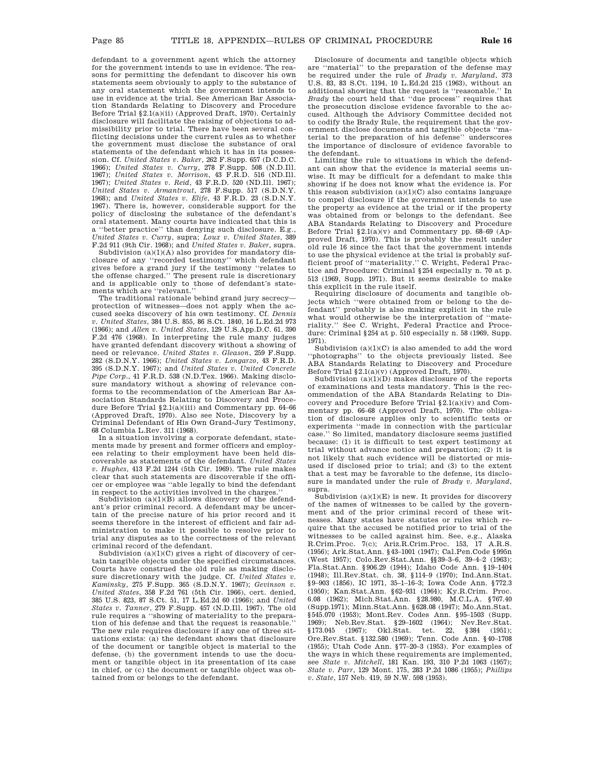defendant to a government agent which the attorney for the government intends to use in evidence. The reasons for permitting the defendant to discover his own statements seem obviously to apply to the substance of any oral statement which the government intends to use in evidence at the trial. See American Bar Association Standards Relating to Discovery and Procedure Before Trial §2.1(a)(ii) (Approved Draft, 1970). Certainly disclosure will facilitate the raising of objections to admissibility prior to trial. There have been several conflicting decisions under the current rules as to whether the government must disclose the substance of oral statements of the defendant which it has in its possession. Cf. *United States v. Baker*, 262 F.Supp. 657 (D.C.D.C. 1966); *United States v. Curry*, 278 F.Supp. 508 (N.D.Ill. 1967); *United States v. Morrison*, 43 F.R.D. 516 (ND.Ill. 1967); *United States v. Reid*, 43 F.R.D. 520 (ND.Ill. 1967); *United States v. Armantrout*, 278 F.Supp. 517 (S.D.N.Y. 1968); and *United States v. Elife*, 43 F.R.D. 23 (S.D.N.Y. 1967). There is, however, considerable support for the policy of disclosing the substance of the defendant's oral statement. Many courts have indicated that this is a ''better practice'' than denying such disclosure. E.g., *United States v. Curry*, supra; *Loux v. United States*, 389 F.2d 911 (9th Cir. 1968); and *United States v. Baker*, supra.

Subdivision  $(a)(1)(A)$  also provides for mandatory disclosure of any ''recorded testimony'' which defendant gives before a grand jury if the testimony ''relates to the offense charged.'' The present rule is discretionary and is applicable only to those of defendant's statements which are ''relevant.''

The traditional rationale behind grand jury secrecy protection of witnesses—does not apply when the accused seeks discovery of his own testimony. Cf. *Dennis v. United States*, 384 U.S. 855, 86 S.Ct. 1840, 16 L.Ed.2d 973 (1966); and *Allen v. United States*, 129 U.S.App.D.C. 61, 390 F.2d 476 (1968). In interpreting the rule many judges have granted defendant discovery without a showing of need or relevance. *United States v. Gleason*, 259 F.Supp. 282 (S.D.N.Y. 1966); *United States v. Longarzo*, 43 F.R.D. 395 (S.D.N.Y. 1967); and *United States v. United Concrete Pipe Corp*., 41 F.R.D. 538 (N.D.Tex. 1966). Making disclosure mandatory without a showing of relevance conforms to the recommendation of the American Bar Association Standards Relating to Discovery and Procedure Before Trial  $\S2.1(a)(iii)$  and Commentary pp.  $64-66$ (Approved Draft, 1970). Also see Note, Discovery by a Criminal Defendant of His Own Grand-Jury Testimony, 68 Columbia L.Rev. 311 (1968).

In a situation involving a corporate defendant, statements made by present and former officers and employees relating to their employment have been held discoverable as statements of the defendant. *United States v. Hughes*, 413 F.2d 1244 (5th Cir. 1969). The rule makes clear that such statements are discoverable if the officer or employee was ''able legally to bind the defendant in respect to the activities involved in the charges.''

Subdivision (a)(1)(B) allows discovery of the defendant's prior criminal record. A defendant may be uncertain of the precise nature of his prior record and it seems therefore in the interest of efficient and fair administration to make it possible to resolve prior to trial any disputes as to the correctness of the relevant criminal record of the defendant.

Subdivision  $(a)(1)(C)$  gives a right of discovery of certain tangible objects under the specified circumstances. Courts have construed the old rule as making disclosure discretionary with the judge. Cf. *United States v. Kaminsky*, 275 F.Supp. 365 (S.D.N.Y. 1967); *Gevinson v. United States*, 358 F.2d 761 (5th Cir. 1966), cert. denied, 385 U.S. 823, 87 S.Ct. 51, 17 L.Ed.2d 60 (1966); and *United States v. Tanner*, 279 F.Supp. 457 (N.D.Ill. 1967). The old rule requires a "showing of materiality to the preparation of his defense and that the request is reasonable.'' The new rule requires disclosure if any one of three situations exists: (a) the defendant shows that disclosure of the document or tangible object is material to the defense, (b) the government intends to use the document or tangible object in its presentation of its case in chief, or (c) the document or tangible object was obtained from or belongs to the defendant.

Disclosure of documents and tangible objects which are ''material'' to the preparation of the defense may be required under the rule of *Brady v. Maryland*, 373 U.S. 83, 83 S.Ct. 1194, 10 L.Ed.2d 215 (1963), without an additional showing that the request is ''reasonable.'' In *Brady* the court held that ''due process'' requires that the prosecution disclose evidence favorable to the accused. Although the Advisory Committee decided not to codify the Brady Rule, the requirement that the government disclose documents and tangible objects ''material to the preparation of his defense'' underscores the importance of disclosure of evidence favorable to the defendant.

Limiting the rule to situations in which the defendant can show that the evidence is material seems unwise. It may be difficult for a defendant to make this showing if he does not know what the evidence is. For this reason subdivision  $(a)(1)(C)$  also contains language to compel disclosure if the government intends to use the property as evidence at the trial or if the property was obtained from or belongs to the defendant. See ABA Standards Relating to Discovery and Procedure Before Trial  $$2.1(a)(v)$  and Commentary pp. 68-69 (Approved Draft, 1970). This is probably the result under old rule 16 since the fact that the government intends to use the physical evidence at the trial is probably sufficient proof of ''materiality.'' C. Wright, Federal Practice and Procedure: Criminal §254 especially n. 70 at p. 513 (1969, Supp. 1971). But it seems desirable to make this explicit in the rule itself.

Requiring disclosure of documents and tangible objects which ''were obtained from or belong to the defendant'' probably is also making explicit in the rule what would otherwise be the interpretation of ''materiality.'' See C. Wright, Federal Practice and Procedure: Criminal §254 at p. 510 especially n. 58 (1969, Supp. 1971).

Subdivision  $(a)(1)(C)$  is also amended to add the word 'photographs'' to the objects previously listed. See ABA Standards Relating to Discovery and Procedure Before Trial §2.1(a)(v) (Approved Draft, 1970).

Subdivision (a)(1)(D) makes disclosure of the reports of examinations and tests mandatory. This is the recommendation of the ABA Standards Relating to Discovery and Procedure Before Trial §2.1(a)(iv) and Commentary pp. 66–68 (Approved Draft, 1970). The obligation of disclosure applies only to scientific tests or experiments ''made in connection with the particular case.'' So limited, mandatory disclosure seems justified because: (1) it is difficult to test expert testimony at trial without advance notice and preparation; (2) it is not likely that such evidence will be distorted or misused if disclosed prior to trial; and (3) to the extent that a test may be favorable to the defense, its disclosure is mandated under the rule of *Brady v. Maryland*, supra.

 $\tilde{S}$ ubdivision  $(a)(1)(E)$  is new. It provides for discovery of the names of witnesses to be called by the government and of the prior criminal record of these witnesses. Many states have statutes or rules which require that the accused be notified prior to trial of the witnesses to be called against him. See, e.g., Alaska R.Crim.Proc. 7(c); Ariz.R.Crim.Proc. 153, 17 A.R.S. (1956); Ark.Stat.Ann. §43–1001 (1947); Cal.Pen.Code §995n (West 1957); Colo.Rev.Stat.Ann. §§39–3–6, 39–4–2 (1963); Fla.Stat.Ann. §906.29 (1944); Idaho Code Ann. §19–1404 (1948); Ill.Rev.Stat. ch. 38, §114–9 (1970); Ind.Ann.Stat. §9–903 (1856), IC 1971, 35–1–16–3; Iowa Code Ann. §772.3 (1950); Kan.Stat.Ann. §62–931 (1964); Ky.R.Crim. Proc. 6.08 (1962); Mich.Stat.Ann. §28.980, M.C.L.A. §767.40 (Supp.1971); Minn.Stat.Ann. §628.08 (1947); Mo.Ann.Stat. §545.070 (1953); Mont.Rev. Codes Ann. §95–1503 (Supp. 1969); Neb.Rev.Stat. §29–1602 (1964); Nev.Rev.Stat. §173.045 (1967); Okl.Stat. tet. 22, §384 (1951); Ore.Rev.Stat. §132.580 (1969); Tenn. Code Ann. §40–1708 (1955); Utah Code Ann. §77–20–3 (1953). For examples of the ways in which these requirements are implemented, see *State v. Mitchell*, 181 Kan. 193, 310 P.2d 1063 (1957); *State v. Parr*, 129 Mont. 175, 283 P.2d 1086 (1955); *Phillips v. State*, 157 Neb. 419, 59 N.W. 598 (1953).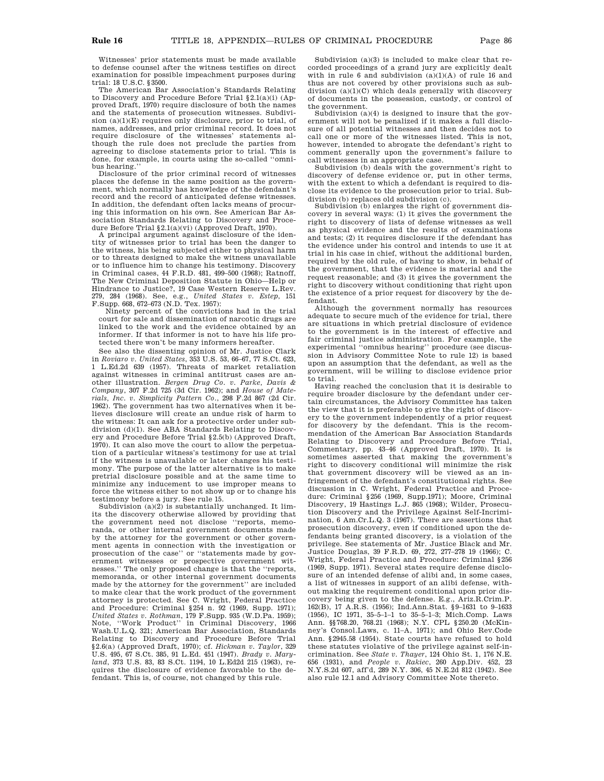Witnesses' prior statements must be made available to defense counsel after the witness testifies on direct examination for possible impeachment purposes during trial: 18 U.S.C. §3500.

The American Bar Association's Standards Relating to Discovery and Procedure Before Trial §2.1(a)(i) (Approved Draft, 1970) require disclosure of both the names and the statements of prosecution witnesses. Subdivision (a)(1)(E) requires only disclosure, prior to trial, of names, addresses, and prior criminal record. It does not require disclosure of the witnesses' statements although the rule does not preclude the parties from agreeing to disclose statements prior to trial. This is done, for example, in courts using the so-called ''omnibus hearing.''

Disclosure of the prior criminal record of witnesses places the defense in the same position as the government, which normally has knowledge of the defendant's record and the record of anticipated defense witnesses. In addition, the defendant often lacks means of procuring this information on his own. See American Bar Association Standards Relating to Discovery and Procedure Before Trial §2.1(a)(vi) (Approved Draft, 1970).

A principal argument against disclosure of the identity of witnesses prior to trial has been the danger to the witness, his being subjected either to physical harm or to threats designed to make the witness unavailable or to influence him to change his testimony. Discovery in Criminal cases, 44 F.R.D. 481, 499–500 (1968); Ratnoff, The New Criminal Deposition Statute in Ohio—Help or Hindrance to Justice?, 19 Case Western Reserve L.Rev. 279, 284 (1968). See, e.g., *United States v. Estep*, 151 F.Supp. 668, 672–673 (N.D. Tex. 1957):

Ninety percent of the convictions had in the trial court for sale and dissemination of narcotic drugs are linked to the work and the evidence obtained by an informer. If that informer is not to have his life protected there won't be many informers hereafter.

See also the dissenting opinion of Mr. Justice Clark in *Roviaro v. United States*, 353 U.S. 53, 66–67, 77 S.Ct. 623, 1 L.Ed.2d 639 (1957). Threats of market retaliation against witnesses in criminal antitrust cases are another illustration. *Bergen Drug Co. v. Parke, Davis & Company*, 307 F.2d 725 (3d Cir. 1962); and *House of Materials, Inc. v. Simplicity Pattern Co*., 298 F.2d 867 (2d Cir. 1962). The government has two alternatives when it believes disclosure will create an undue risk of harm to the witness: It can ask for a protective order under subdivision (d)(1). See ABA Standards Relating to Discovery and Procedure Before Trial §2.5(b) (Approved Draft, 1970). It can also move the court to allow the perpetuation of a particular witness's testimony for use at trial if the witness is unavailable or later changes his testimony. The purpose of the latter alternative is to make pretrial disclosure possible and at the same time to minimize any inducement to use improper means to force the witness either to not show up or to change his testimony before a jury. See rule 15.

Subdivision (a)(2) is substantially unchanged. It limits the discovery otherwise allowed by providing that the government need not disclose ''reports, memoranda, or other internal government documents made by the attorney for the government or other government agents in connection with the investigation or prosecution of the case'' or ''statements made by government witnesses or prospective government witnesses.'' The only proposed change is that the ''reports, memoranda, or other internal government documents made by the attorney for the government'' are included to make clear that the work product of the government attorney is protected. See C. Wright, Federal Practice and Procedure: Criminal §254 n. 92 (1969, Supp. 1971); *United States v. Rothman*, 179 F.Supp. 935 (W.D.Pa. 1959); Note, ''Work Product'' in Criminal Discovery, 1966 Wash.U.L.Q. 321; American Bar Association, Standards Relating to Discovery and Procedure Before Trial §2.6(a) (Approved Draft, 1970); cf. *Hickman v. Taylor*, 329 U.S. 495, 67 S.Ct. 385, 91 L.Ed. 451 (1947). *Brady v. Maryland*, 373 U.S. 83, 83 S.Ct. 1194, 10 L.Ed2d 215 (1963), requires the disclosure of evidence favorable to the defendant. This is, of course, not changed by this rule.

Subdivision (a)(3) is included to make clear that recorded proceedings of a grand jury are explicitly dealt with in rule 6 and subdivision (a)(1)(A) of rule 16 and thus are not covered by other provisions such as subdivision  $(a)(1)(C)$  which deals generally with discovery of documents in the possession, custody, or control of the government.

Subdivision (a)(4) is designed to insure that the government will not be penalized if it makes a full disclosure of all potential witnesses and then decides not to call one or more of the witnesses listed. This is not, however, intended to abrogate the defendant's right to comment generally upon the government's failure to call witnesses in an appropriate case.

Subdivision (b) deals with the government's right to discovery of defense evidence or, put in other terms, with the extent to which a defendant is required to disclose its evidence to the prosecution prior to trial. Sub-

division (b) replaces old subdivision (c). Subdivision (b) enlarges the right of government discovery in several ways: (1) it gives the government the right to discovery of lists of defense witnesses as well as physical evidence and the results of examinations and tests; (2) it requires disclosure if the defendant has the evidence under his control and intends to use it at trial in his case in chief, without the additional burden, required by the old rule, of having to show, in behalf of the government, that the evidence is material and the request reasonable; and (3) it gives the government the right to discovery without conditioning that right upon the existence of a prior request for discovery by the defendant.

Although the government normally has resources adequate to secure much of the evidence for trial, there are situations in which pretrial disclosure of evidence to the government is in the interest of effective and fair criminal justice administration. For example, the experimental ''omnibus hearing'' procedure (see discussion in Advisory Committee Note to rule 12) is based upon an assumption that the defendant, as well as the government, will be willing to disclose evidence prior

to trial. Having reached the conclusion that it is desirable to require broader disclosure by the defendant under certain circumstances, the Advisory Committee has taken the view that it is preferable to give the right of discovery to the government independently of a prior request for discovery by the defendant. This is the recommendation of the American Bar Association Standards Relating to Discovery and Procedure Before Trial, Commentary, pp. 43–46 (Approved Draft, 1970). It is sometimes asserted that making the government's right to discovery conditional will minimize the risk that government discovery will be viewed as an infringement of the defendant's constitutional rights. See discussion in C. Wright, Federal Practice and Procedure: Criminal §256 (1969, Supp.1971); Moore, Criminal Discovery, 19 Hastings L.J. 865 (1968); Wilder, Prosecution Discovery and the Privilege Against Self-Incrimination, 6 Am.Cr.L.Q. 3 (1967). There are assertions that prosecution discovery, even if conditioned upon the defendants being granted discovery, is a violation of the privilege. See statements of Mr. Justice Black and Mr. Justice Douglas, 39 F.R.D. 69, 272, 277–278 19 (1966); C. Wright, Federal Practice and Procedure: Criminal §256 (1969, Supp. 1971). Several states require defense disclosure of an intended defense of alibi and, in some cases, a list of witnesses in support of an alibi defense, without making the requirement conditional upon prior discovery being given to the defense. E.g., Ariz.R.Crim.P. 162(B), 17 A.R.S. (1956); Ind.Ann.Stat. §9–1631 to 9–1633 (1956), IC 1971, 35–5–1–1 to 35–5–1–3; Mich.Comp. Laws Ann. §§768.20, 768.21 (1968); N.Y. CPL §250.20 (McKinney's Consol.Laws, c. 11–A, 1971); and Ohio Rev.Code Ann. §2945.58 (1954). State courts have refused to hold these statutes violative of the privilege against self-incrimination. See *State v. Thayer*, 124 Ohio St. 1, 176 N.E. 656 (1931), and *People v. Rakiec*, 260 App.Div. 452, 23 N.Y.S.2d 607, aff'd, 289 N.Y. 306, 45 N.E.2d 812 (1942). See also rule 12.1 and Advisory Committee Note thereto.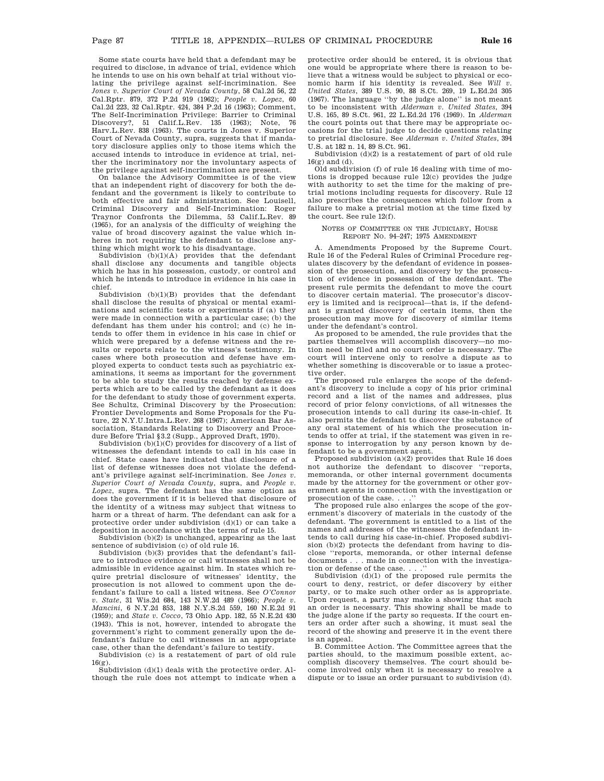Some state courts have held that a defendant may be required to disclose, in advance of trial, evidence which he intends to use on his own behalf at trial without violating the privilege against self-incrimination. See *Jones v. Superior Court of Nevada County*, 58 Cal.2d 56, 22 Cal.Rptr. 879, 372 P.2d 919 (1962); *People v. Lopez*, 60 Cal.2d 223, 32 Cal.Rptr. 424, 384 P.2d 16 (1963); Comment, The Self-Incrimination Privilege: Barrier to Criminal Discovery?, 51 Calif.L.Rev. 135 (1963); Note, 76 Harv.L.Rev. 838 (1963). The courts in Jones v. Superior Court of Nevada County, supra, suggests that if mandatory disclosure applies only to those items which the accused intends to introduce in evidence at trial, neither the incriminatory nor the involuntary aspects of the privilege against self-incrimination are present.

On balance the Advisory Committee is of the view that an independent right of discovery for both the defendant and the government is likely to contribute to both effective and fair administration. See Louisell, Criminal Discovery and Self-Incrimination: Roger Traynor Confronts the Dilemma, 53 Calif.L.Rev. 89 (1965), for an analysis of the difficulty of weighing the value of broad discovery against the value which inheres in not requiring the defendant to disclose anything which might work to his disadvantage.

Subdivision (b)(1)(A) provides that the defendant shall disclose any documents and tangible objects which he has in his possession, custody, or control and which he intends to introduce in evidence in his case in chief.

Subdivision  $(b)(1)(B)$  provides that the defendant shall disclose the results of physical or mental examinations and scientific tests or experiments if (a) they were made in connection with a particular case; (b) the defendant has them under his control; and (c) he intends to offer them in evidence in his case in chief or which were prepared by a defense witness and the results or reports relate to the witness's testimony. In cases where both prosecution and defense have employed experts to conduct tests such as psychiatric examinations, it seems as important for the government to be able to study the results reached by defense experts which are to be called by the defendant as it does for the defendant to study those of government experts. See Schultz, Criminal Discovery by the Prosecution: Frontier Developments and Some Proposals for the Future, 22 N.Y.U.Intra.L.Rev. 268 (1967); American Bar Association, Standards Relating to Discovery and Procedure Before Trial §3.2 (Supp., Approved Draft, 1970).

Subdivision  $(b)(1)(C)$  provides for discovery of a list of witnesses the defendant intends to call in his case in chief. State cases have indicated that disclosure of a list of defense witnesses does not violate the defendant's privilege against self-incrimination. See *Jones v. Superior Court of Nevada County*, supra, and *People v. Lopez*, supra. The defendant has the same option as does the government if it is believed that disclosure of the identity of a witness may subject that witness to harm or a threat of harm. The defendant can ask for a protective order under subdivision (d)(1) or can take a deposition in accordance with the terms of rule 15.

Subdivision (b)(2) is unchanged, appearing as the last sentence of subdivision (c) of old rule 16.

Subdivision (b)(3) provides that the defendant's failure to introduce evidence or call witnesses shall not be admissible in evidence against him. In states which require pretrial disclosure of witnesses' identity, the prosecution is not allowed to comment upon the defendant's failure to call a listed witness. See *O'Connor v. State*, 31 Wis.2d 684, 143 N.W.2d 489 (1966); *People v. Mancini*, 6 N.Y.2d 853, 188 N.Y.S.2d 559, 160 N.E.2d 91 (1959); and *State v. Cocco*, 73 Ohio App. 182, 55 N.E.2d 430 (1943). This is not, however, intended to abrogate the government's right to comment generally upon the defendant's failure to call witnesses in an appropriate case, other than the defendant's failure to testify.

Subdivision (c) is a restatement of part of old rule 16(g).

Subdivision (d)(1) deals with the protective order. Although the rule does not attempt to indicate when a protective order should be entered, it is obvious that one would be appropriate where there is reason to believe that a witness would be subject to physical or economic harm if his identity is revealed. See *Will v. United States*, 389 U.S. 90, 88 S.Ct. 269, 19 L.Ed.2d 305 (1967). The language ''by the judge alone'' is not meant to be inconsistent with *Alderman v. United States*, 394 U.S. 165, 89 S.Ct. 961, 22 L.Ed.2d 176 (1969). In *Alderman* the court points out that there may be appropriate occasions for the trial judge to decide questions relating to pretrial disclosure. See *Alderman v. United States*, 394 U.S. at 182 n. 14, 89 S.Ct. 961.

Subdivision  $(d)(2)$  is a restatement of part of old rule 16(g) and (d).

Old subdivision (f) of rule 16 dealing with time of motions is dropped because rule 12(c) provides the judge with authority to set the time for the making of pretrial motions including requests for discovery. Rule 12 also prescribes the consequences which follow from a failure to make a pretrial motion at the time fixed by the court. See rule 12(f).

### NOTES OF COMMITTEE ON THE JUDICIARY, HOUSE REPORT NO. 94–247; 1975 AMENDMENT

A. Amendments Proposed by the Supreme Court. Rule 16 of the Federal Rules of Criminal Procedure regulates discovery by the defendant of evidence in possession of the prosecution, and discovery by the prosecution of evidence in possession of the defendant. The present rule permits the defendant to move the court to discover certain material. The prosecutor's discovery is limited and is reciprocal—that is, if the defendant is granted discovery of certain items, then the prosecution may move for discovery of similar items under the defendant's control.

As proposed to be amended, the rule provides that the parties themselves will accomplish discovery—no motion need be filed and no court order is necessary. The court will intervene only to resolve a dispute as to whether something is discoverable or to issue a protective order.

The proposed rule enlarges the scope of the defendant's discovery to include a copy of his prior criminal record and a list of the names and addresses, plus record of prior felony convictions, of all witnesses the prosecution intends to call during its case-in-chief. It also permits the defendant to discover the substance of any oral statement of his which the prosecution intends to offer at trial, if the statement was given in response to interrogation by any person known by defendant to be a government agent.

Proposed subdivision  $({\bf a})({\bf 2})$  provides that Rule 16 does not authorize the defendant to discover ''reports, memoranda, or other internal government documents made by the attorney for the government or other government agents in connection with the investigation or prosecution of the case. . . .

The proposed rule also enlarges the scope of the government's discovery of materials in the custody of the defendant. The government is entitled to a list of the names and addresses of the witnesses the defendant intends to call during his case-in-chief. Proposed subdivision (b)(2) protects the defendant from having to disclose ''reports, memoranda, or other internal defense documents . . . made in connection with the investiga-

tion or defense of the case. . . .'' Subdivision (d)(1) of the proposed rule permits the court to deny, restrict, or defer discovery by either party, or to make such other order as is appropriate. Upon request, a party may make a showing that such an order is necessary. This showing shall be made to the judge alone if the party so requests. If the court enters an order after such a showing, it must seal the record of the showing and preserve it in the event there is an appeal.

B. Committee Action. The Committee agrees that the parties should, to the maximum possible extent, accomplish discovery themselves. The court should become involved only when it is necessary to resolve a dispute or to issue an order pursuant to subdivision (d).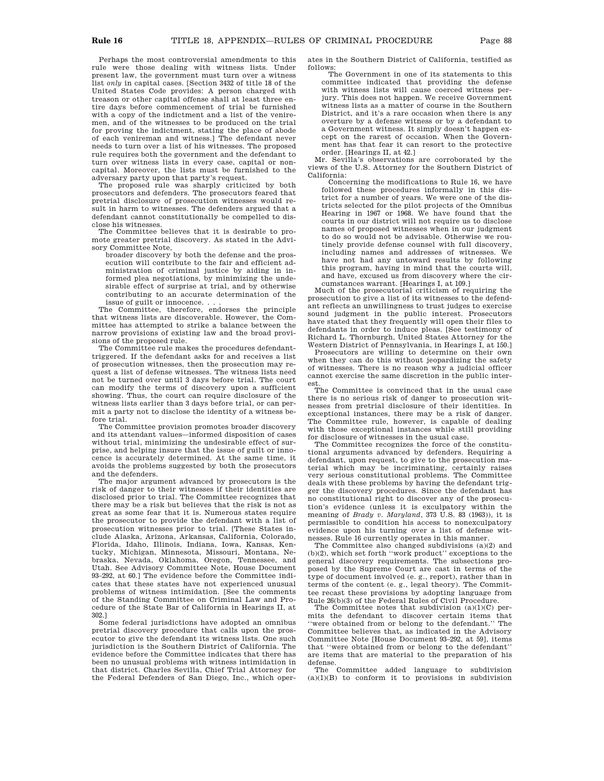Perhaps the most controversial amendments to this rule were those dealing with witness lists. Under present law, the government must turn over a witness list *only* in capital cases. [Section 3432 of title 18 of the United States Code provides: A person charged with treason or other capital offense shall at least three entire days before commencement of trial be furnished with a copy of the indictment and a list of the veniremen, and of the witnesses to be produced on the trial for proving the indictment, stating the place of abode of each venireman and witness.] The defendant never needs to turn over a list of his witnesses. The proposed rule requires both the government and the defendant to turn over witness lists in every case, capital or noncapital. Moreover, the lists must be furnished to the adversary party upon that party's request.

The proposed rule was sharply criticized by both prosecutors and defenders. The prosecutors feared that pretrial disclosure of prosecution witnesses would result in harm to witnesses. The defenders argued that a defendant cannot constitutionally be compelled to disclose his witnesses.

The Committee believes that it is desirable to promote greater pretrial discovery. As stated in the Advisory Committee Note,

broader discovery by both the defense and the prosecution will contribute to the fair and efficient administration of criminal justice by aiding in informed plea negotiations, by minimizing the undesirable effect of surprise at trial, and by otherwise contributing to an accurate determination of the issue of guilt or innocence. . . .

The Committee, therefore, endorses the principle that witness lists are discoverable. However, the Committee has attempted to strike a balance between the narrow provisions of existing law and the broad provisions of the proposed rule.

The Committee rule makes the procedures defendanttriggered. If the defendant asks for and receives a list of prosecution witnesses, then the prosecution may request a list of defense witnesses. The witness lists need not be turned over until 3 days before trial. The court can modify the terms of discovery upon a sufficient showing. Thus, the court can require disclosure of the witness lists earlier than 3 days before trial, or can permit a party not to disclose the identity of a witness before trial.

The Committee provision promotes broader discovery and its attendant values—informed disposition of cases without trial, minimizing the undesirable effect of surprise, and helping insure that the issue of guilt or innocence is accurately determined. At the same time, it avoids the problems suggested by both the prosecutors and the defenders.

The major argument advanced by prosecutors is the risk of danger to their witnesses if their identities are disclosed prior to trial. The Committee recognizes that there may be a risk but believes that the risk is not as great as some fear that it is. Numerous states require the prosecutor to provide the defendant with a list of prosecution witnesses prior to trial. [These States include Alaska, Arizona, Arkansas, California, Colorado, Florida, Idaho, Illinois, Indiana, Iowa, Kansas, Kentucky, Michigan, Minnesota, Missouri, Montana, Nebraska, Nevada, Oklahoma, Oregon, Tennessee, and Utah. See Advisory Committee Note, House Document 93–292, at 60.] The evidence before the Committee indicates that these states have not experienced unusual problems of witness intimidation. [See the comments of the Standing Committee on Criminal Law and Procedure of the State Bar of California in Hearings II, at 302.]

Some federal jurisdictions have adopted an omnibus pretrial discovery procedure that calls upon the prosecutor to give the defendant its witness lists. One such jurisdiction is the Southern District of California. The evidence before the Committee indicates that there has been no unusual problems with witness intimidation in that district. Charles Sevilla, Chief Trial Attorney for the Federal Defenders of San Diego, Inc., which operates in the Southern District of California, testified as follows:

The Government in one of its statements to this committee indicated that providing the defense with witness lists will cause coerced witness perjury. This does not happen. We receive Government witness lists as a matter of course in the Southern District, and it's a rare occasion when there is any overture by a defense witness or by a defendant to a Government witness. It simply doesn't happen except on the rarest of occasion. When the Government has that fear it can resort to the protective order. [Hearings II, at 42.]

Mr. Sevilla's observations are corroborated by the views of the U.S. Attorney for the Southern District of California:

Concerning the modifications to Rule 16, we have followed these procedures informally in this district for a number of years. We were one of the districts selected for the pilot projects of the Omnibus Hearing in 1967 or 1968. We have found that the courts in our district will not require us to disclose names of proposed witnesses when in our judgment to do so would not be advisable. Otherwise we routinely provide defense counsel with full discovery, including names and addresses of witnesses. We have not had any untoward results by following this program, having in mind that the courts will, and have, excused us from discovery where the circumstances warrant. [Hearings I, at 109.]

Much of the prosecutorial criticism of requiring the prosecution to give a list of its witnesses to the defendant reflects an unwillingness to trust judges to exercise sound judgment in the public interest. Prosecutors have stated that they frequently will open their files to defendants in order to induce pleas. [See testimony of Richard L. Thornburgh, United States Attorney for the Western District of Pennsylvania, in Hearings I, at 150.]

Prosecutors are willing to determine on their own when they can do this without jeopardizing the safety of witnesses. There is no reason why a judicial officer cannot exercise the same discretion in the public interest.

The Committee is convinced that in the usual case there is no serious risk of danger to prosecution witnesses from pretrial disclosure of their identities. In exceptional instances, there may be a risk of danger. The Committee rule, however, is capable of dealing with those exceptional instances while still providing for disclosure of witnesses in the usual case.

The Committee recognizes the force of the constitutional arguments advanced by defenders. Requiring a defendant, upon request, to give to the prosecution material which may be incriminating, certainly raises very serious constitutional problems. The Committee deals with these problems by having the defendant trigger the discovery procedures. Since the defendant has no constitutional right to discover any of the prosecution's evidence (unless it is exculpatory within the meaning of *Brady v. Maryland*, 373 U.S. 83 (1963)), it is permissible to condition his access to nonexculpatory evidence upon his turning over a list of defense witnesses. Rule 16 currently operates in this manner.

The Committee also changed subdivisions (a)(2) and (b)(2), which set forth "work product" exceptions to the  $\,$ general discovery requirements. The subsections proposed by the Supreme Court are cast in terms of the type of document involved (e. g., report), rather than in terms of the content (e. g., legal theory). The Committee recast these provisions by adopting language from Rule 26(b)(3) of the Federal Rules of Civil Procedure.

The Committee notes that subdivision  $(a)(1)(C)$  permits the defendant to discover certain items that ''were obtained from or belong to the defendant.'' The Committee believes that, as indicated in the Advisory Committee Note [House Document 93–292, at 59], items that ''were obtained from or belong to the defendant'' are items that are material to the preparation of his

defense. The Committee added language to subdivision  $(a)(1)(B)$  to conform it to provisions in subdivision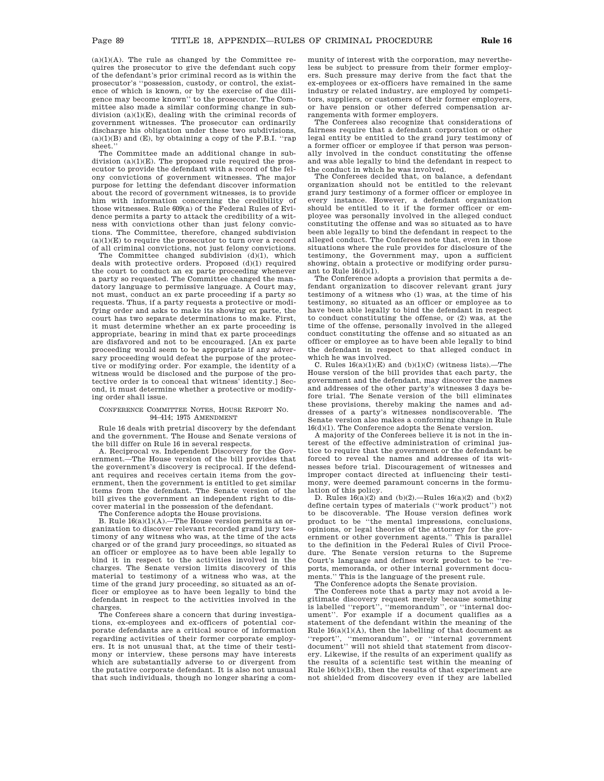$(a)(1)(A)$ . The rule as changed by the Committee requires the prosecutor to give the defendant such copy of the defendant's prior criminal record as is within the prosecutor's ''possession, custody, or control, the existence of which is known, or by the exercise of due diligence may become known'' to the prosecutor. The Committee also made a similar conforming change in subdivision  $(a)(1)(E)$ , dealing with the criminal records of government witnesses. The prosecutor can ordinarily discharge his obligation under these two subdivisions,  $(a)(1)(B)$  and  $(E)$ , by obtaining a copy of the F.B.I. "rap" sheet.

The Committee made an additional change in subdivision  $(a)(1)(E)$ . The proposed rule required the prosecutor to provide the defendant with a record of the felony convictions of government witnesses. The major purpose for letting the defendant discover information about the record of government witnesses, is to provide him with information concerning the credibility of those witnesses. Rule 609(a) of the Federal Rules of Evidence permits a party to attack the credibility of a witness with convictions other than just felony convictions. The Committee, therefore, changed subdivision  $(a)(1)(E)$  to require the prosecutor to turn over a record of all criminal convictions, not just felony convictions.

The Committee changed subdivision (d)(1), which deals with protective orders. Proposed  $(d)(1)$  required the court to conduct an ex parte proceeding whenever a party so requested. The Committee changed the mandatory language to permissive language. A Court may, not must, conduct an ex parte proceeding if a party so requests. Thus, if a party requests a protective or modifying order and asks to make its showing ex parte, the court has two separate determinations to make. First, it must determine whether an ex parte proceeding is appropriate, bearing in mind that ex parte proceedings are disfavored and not to be encouraged. [An ex parte proceeding would seem to be appropriate if any adversary proceeding would defeat the purpose of the protective or modifying order. For example, the identity of a witness would be disclosed and the purpose of the protective order is to conceal that witness' identity.] Second, it must determine whether a protective or modifying order shall issue.

# CONFERENCE COMMITTEE NOTES, HOUSE REPORT NO. 94–414; 1975 AMENDMENT

Rule 16 deals with pretrial discovery by the defendant and the government. The House and Senate versions of the bill differ on Rule 16 in several respects.

A. Reciprocal vs. Independent Discovery for the Government.—The House version of the bill provides that the government's discovery is reciprocal. If the defendant requires and receives certain items from the government, then the government is entitled to get similar items from the defendant. The Senate version of the bill gives the government an independent right to discover material in the possession of the defendant.

The Conference adopts the House provisions. B. Rule 16(a)(1)(A).—The House version permits an organization to discover relevant recorded grand jury testimony of any witness who was, at the time of the acts charged or of the grand jury proceedings, so situated as an officer or employee as to have been able legally to bind it in respect to the activities involved in the charges. The Senate version limits discovery of this material to testimony of a witness who was, at the time of the grand jury proceeding, so situated as an officer or employee as to have been legally to bind the defendant in respect to the activities involved in the charges.

The Conferees share a concern that during investigations, ex-employees and ex-officers of potential corporate defendants are a critical source of information regarding activities of their former corporate employers. It is not unusual that, at the time of their testimony or interview, these persons may have interests which are substantially adverse to or divergent from the putative corporate defendant. It is also not unusual that such individuals, though no longer sharing a community of interest with the corporation, may nevertheless be subject to pressure from their former employers. Such pressure may derive from the fact that the ex-employees or ex-officers have remained in the same industry or related industry, are employed by competitors, suppliers, or customers of their former employers, or have pension or other deferred compensation arrangements with former employers.

The Conferees also recognize that considerations of fairness require that a defendant corporation or other legal entity be entitled to the grand jury testimony of a former officer or employee if that person was personally involved in the conduct constituting the offense and was able legally to bind the defendant in respect to the conduct in which he was involved.

The Conferees decided that, on balance, a defendant organization should not be entitled to the relevant grand jury testimony of a former officer or employee in every instance. However, a defendant organization should be entitled to it if the former officer or employee was personally involved in the alleged conduct constituting the offense and was so situated as to have been able legally to bind the defendant in respect to the alleged conduct. The Conferees note that, even in those situations where the rule provides for disclosure of the testimony, the Government may, upon a sufficient showing, obtain a protective or modifying order pursuant to Rule  $16(d)(1)$ .

The Conference adopts a provision that permits a defendant organization to discover relevant grant jury testimony of a witness who (1) was, at the time of his testimony, so situated as an officer or employee as to have been able legally to bind the defendant in respect to conduct constituting the offense, or (2) was, at the time of the offense, personally involved in the alleged conduct constituting the offense and so situated as an officer or employee as to have been able legally to bind the defendant in respect to that alleged conduct in which he was involved.

C. Rules  $16(a)(1)(E)$  and  $(b)(1)(C)$  (witness lists).—The House version of the bill provides that each party, the government and the defendant, may discover the names and addresses of the other party's witnesses 3 days before trial. The Senate version of the bill eliminates these provisions, thereby making the names and addresses of a party's witnesses nondiscoverable. The Senate version also makes a conforming change in Rule 16(d)(1). The Conference adopts the Senate version.

A majority of the Conferees believe it is not in the interest of the effective administration of criminal justice to require that the government or the defendant be forced to reveal the names and addresses of its witnesses before trial. Discouragement of witnesses and improper contact directed at influencing their testimony, were deemed paramount concerns in the formulation of this policy.

D. Rules  $16(a)(2)$  and  $(b)(2)$ .—Rules  $16(a)(2)$  and  $(b)(2)$ define certain types of materials (''work product'') not to be discoverable. The House version defines work product to be ''the mental impressions, conclusions, opinions, or legal theories of the attorney for the government or other government agents.'' This is parallel to the definition in the Federal Rules of Civil Procedure. The Senate version returns to the Supreme Court's language and defines work product to be ''reports, memoranda, or other internal government documents.'' This is the language of the present rule.

The Conference adopts the Senate provision.

The Conferees note that a party may not avoid a legitimate discovery request merely because something is labelled ''report'', ''memorandum'', or ''internal document''. For example if a document qualifies as a statement of the defendant within the meaning of the Rule  $16(a)(1)(A)$ , then the labelling of that document as ''report'', ''memorandum'', or ''internal government document'' will not shield that statement from discovery. Likewise, if the results of an experiment qualify as the results of a scientific test within the meaning of Rule 16(b)(1)(B), then the results of that experiment are not shielded from discovery even if they are labelled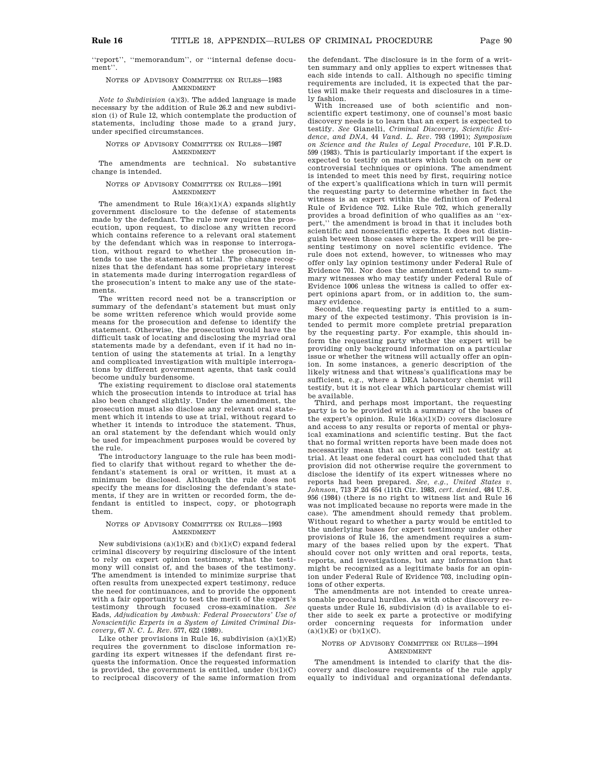''report'', ''memorandum'', or ''internal defense document''.

# NOTES OF ADVISORY COMMITTEE ON RULES—1983 AMENDMENT

*Note to Subdivision* (a)(3). The added language is made necessary by the addition of Rule 26.2 and new subdivision (i) of Rule 12, which contemplate the production of statements, including those made to a grand jury, under specified circumstances.

# NOTES OF ADVISORY COMMITTEE ON RULES—1987 AMENDMENT

The amendments are technical. No substantive change is intended.

### NOTES OF ADVISORY COMMITTEE ON RULES—1991 AMENDMENT

The amendment to Rule 16(a)(1)(A) expands slightly government disclosure to the defense of statements made by the defendant. The rule now requires the prosecution, upon request, to disclose any written record which contains reference to a relevant oral statement by the defendant which was in response to interrogation, without regard to whether the prosecution intends to use the statement at trial. The change recognizes that the defendant has some proprietary interest in statements made during interrogation regardless of the prosecution's intent to make any use of the statements.

The written record need not be a transcription or summary of the defendant's statement but must only be some written reference which would provide some means for the prosecution and defense to identify the statement. Otherwise, the prosecution would have the difficult task of locating and disclosing the myriad oral statements made by a defendant, even if it had no intention of using the statements at trial. In a lengthy and complicated investigation with multiple interrogations by different government agents, that task could become unduly burdensome.

The existing requirement to disclose oral statements which the prosecution intends to introduce at trial has also been changed slightly. Under the amendment, the prosecution must also disclose any relevant oral statement which it intends to use at trial, without regard to whether it intends to introduce the statement. Thus, an oral statement by the defendant which would only be used for impeachment purposes would be covered by the rule.

The introductory language to the rule has been modified to clarify that without regard to whether the defendant's statement is oral or written, it must at a minimum be disclosed. Although the rule does not specify the means for disclosing the defendant's statements, if they are in written or recorded form, the defendant is entitled to inspect, copy, or photograph them.

# NOTES OF ADVISORY COMMITTEE ON RULES—1993 AMENDMENT

New subdivisions  $(a)(1)(E)$  and  $(b)(1)(C)$  expand federal criminal discovery by requiring disclosure of the intent to rely on expert opinion testimony, what the testimony will consist of, and the bases of the testimony. The amendment is intended to minimize surprise that often results from unexpected expert testimony, reduce the need for continuances, and to provide the opponent with a fair opportunity to test the merit of the expert's testimony through focused cross-examination. *See* Eads, *Adjudication by Ambush: Federal Prosecutors' Use of Nonscientific Experts in a System of Limited Criminal Discovery*, 67 *N. C. L. Rev*. 577, 622 (1989).

Like other provisions in Rule 16, subdivision  $(a)(1)(E)$ requires the government to disclose information regarding its expert witnesses if the defendant first requests the information. Once the requested information is provided, the government is entitled, under  $(b)(1)(C)$ to reciprocal discovery of the same information from the defendant. The disclosure is in the form of a written summary and only applies to expert witnesses that each side intends to call. Although no specific timing requirements are included, it is expected that the parties will make their requests and disclosures in a timely fashion.

With increased use of both scientific and nonscientific expert testimony, one of counsel's most basic discovery needs is to learn that an expert is expected to testify. *See* Gianelli, *Criminal Discovery, Scientific Evidence, and DNA*, 44 *Vand. L. Rev*. 793 (1991); *Symposium on Science and the Rules of Legal Procedure*, 101 F.R.D. 599 (1983). This is particularly important if the expert is expected to testify on matters which touch on new or controversial techniques or opinions. The amendment is intended to meet this need by first, requiring notice of the expert's qualifications which in turn will permit the requesting party to determine whether in fact the witness is an expert within the definition of Federal Rule of Evidence 702. Like Rule 702, which generally provides a broad definition of who qualifies as an ''expert,'' the amendment is broad in that it includes both scientific and nonscientific experts. It does not distinguish between those cases where the expert will be presenting testimony on novel scientific evidence. The rule does not extend, however, to witnesses who may offer only lay opinion testimony under Federal Rule of Evidence 701. Nor does the amendment extend to summary witnesses who may testify under Federal Rule of Evidence 1006 unless the witness is called to offer expert opinions apart from, or in addition to, the summary evidence.

Second, the requesting party is entitled to a summary of the expected testimony. This provision is intended to permit more complete pretrial preparation by the requesting party. For example, this should inform the requesting party whether the expert will be providing only background information on a particular issue or whether the witness will actually offer an opinion. In some instances, a generic description of the likely witness and that witness's qualifications may be sufficient, e.g., where a DEA laboratory chemist will testify, but it is not clear which particular chemist will be available.

Third, and perhaps most important, the requesting party is to be provided with a summary of the bases of the expert's opinion. Rule 16(a)(1)(D) covers disclosure and access to any results or reports of mental or physical examinations and scientific testing. But the fact that no formal written reports have been made does not necessarily mean that an expert will not testify at trial. At least one federal court has concluded that that provision did not otherwise require the government to disclose the identify of its expert witnesses where no reports had been prepared. *See, e.g., United States v. Johnson*, 713 F.2d 654 (11th Cir. 1983, *cert. denied*, 484 U.S. 956 (1984) (there is no right to witness list and Rule 16 was not implicated because no reports were made in the case). The amendment should remedy that problem. Without regard to whether a party would be entitled to the underlying bases for expert testimony under other provisions of Rule 16, the amendment requires a summary of the bases relied upon by the expert. That should cover not only written and oral reports, tests, reports, and investigations, but any information that might be recognized as a legitimate basis for an opinion under Federal Rule of Evidence 703, including opinions of other experts.

The amendments are not intended to create unreasonable procedural hurdles. As with other discovery requests under Rule 16, subdivision (d) is available to either side to seek ex parte a protective or modifying order concerning requests for information under  $(a)(1)(E)$  or  $(b)(1)(C)$ .

# NOTES OF ADVISORY COMMITTEE ON RULES—1994 AMENDMENT

The amendment is intended to clarify that the discovery and disclosure requirements of the rule apply equally to individual and organizational defendants.